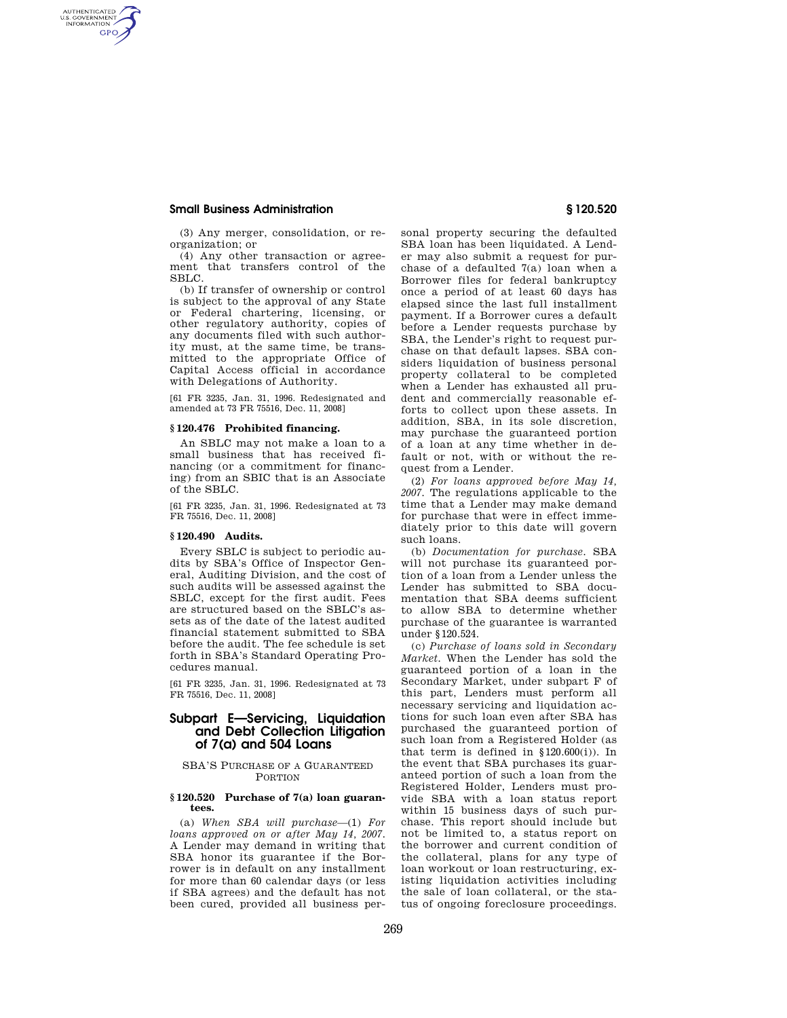## **Small Business Administration § 120.520**

AUTHENTICATED<br>U.S. GOVERNMENT<br>INFORMATION **GPO** 

> (3) Any merger, consolidation, or reorganization; or

> (4) Any other transaction or agreement that transfers control of the SBLC.

> (b) If transfer of ownership or control is subject to the approval of any State or Federal chartering, licensing, or other regulatory authority, copies of any documents filed with such authority must, at the same time, be transmitted to the appropriate Office of Capital Access official in accordance with Delegations of Authority.

[61 FR 3235, Jan. 31, 1996. Redesignated and amended at 73 FR 75516, Dec. 11, 2008]

#### **§ 120.476 Prohibited financing.**

An SBLC may not make a loan to a small business that has received financing (or a commitment for financing) from an SBIC that is an Associate of the SBLC.

[61 FR 3235, Jan. 31, 1996. Redesignated at 73 FR 75516, Dec. 11, 2008]

#### **§ 120.490 Audits.**

Every SBLC is subject to periodic audits by SBA's Office of Inspector General, Auditing Division, and the cost of such audits will be assessed against the SBLC, except for the first audit. Fees are structured based on the SBLC's assets as of the date of the latest audited financial statement submitted to SBA before the audit. The fee schedule is set forth in SBA's Standard Operating Procedures manual.

[61 FR 3235, Jan. 31, 1996. Redesignated at 73 FR 75516, Dec. 11, 2008]

# **Subpart E—Servicing, Liquidation and Debt Collection Litigation of 7(a) and 504 Loans**

### SBA'S PURCHASE OF A GUARANTEED **PORTION**

## **§ 120.520 Purchase of 7(a) loan guarantees.**

(a) *When SBA will purchase*—(1) *For loans approved on or after May 14, 2007.*  A Lender may demand in writing that SBA honor its guarantee if the Borrower is in default on any installment for more than 60 calendar days (or less if SBA agrees) and the default has not been cured, provided all business personal property securing the defaulted SBA loan has been liquidated. A Lender may also submit a request for purchase of a defaulted 7(a) loan when a Borrower files for federal bankruptcy once a period of at least 60 days has elapsed since the last full installment payment. If a Borrower cures a default before a Lender requests purchase by SBA, the Lender's right to request purchase on that default lapses. SBA considers liquidation of business personal property collateral to be completed when a Lender has exhausted all prudent and commercially reasonable efforts to collect upon these assets. In addition, SBA, in its sole discretion, may purchase the guaranteed portion of a loan at any time whether in default or not, with or without the request from a Lender.

(2) *For loans approved before May 14, 2007.* The regulations applicable to the time that a Lender may make demand for purchase that were in effect immediately prior to this date will govern such loans.

(b) *Documentation for purchase.* SBA will not purchase its guaranteed portion of a loan from a Lender unless the Lender has submitted to SBA documentation that SBA deems sufficient to allow SBA to determine whether purchase of the guarantee is warranted under §120.524.

(c) *Purchase of loans sold in Secondary Market.* When the Lender has sold the guaranteed portion of a loan in the Secondary Market, under subpart F of this part, Lenders must perform all necessary servicing and liquidation actions for such loan even after SBA has purchased the guaranteed portion of such loan from a Registered Holder (as that term is defined in  $$120.600(i)$ . In the event that SBA purchases its guaranteed portion of such a loan from the Registered Holder, Lenders must provide SBA with a loan status report within 15 business days of such purchase. This report should include but not be limited to, a status report on the borrower and current condition of the collateral, plans for any type of loan workout or loan restructuring, existing liquidation activities including the sale of loan collateral, or the status of ongoing foreclosure proceedings.